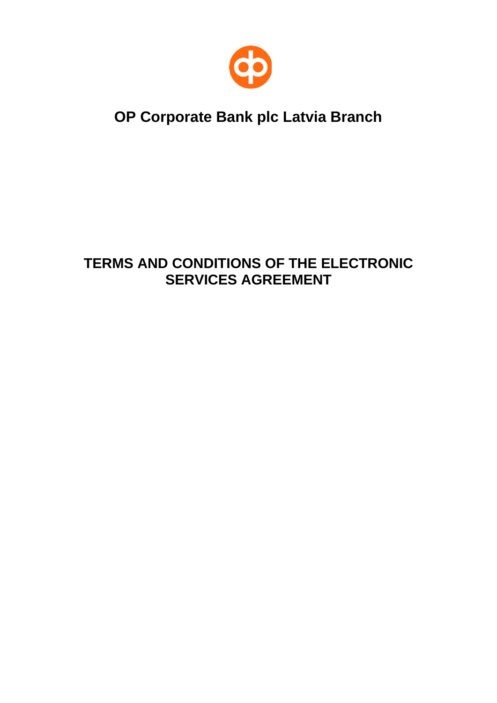

# **OP Corporate Bank plc Latvia Branch**

## **TERMS AND CONDITIONS OF THE ELECTRONIC SERVICES AGREEMENT**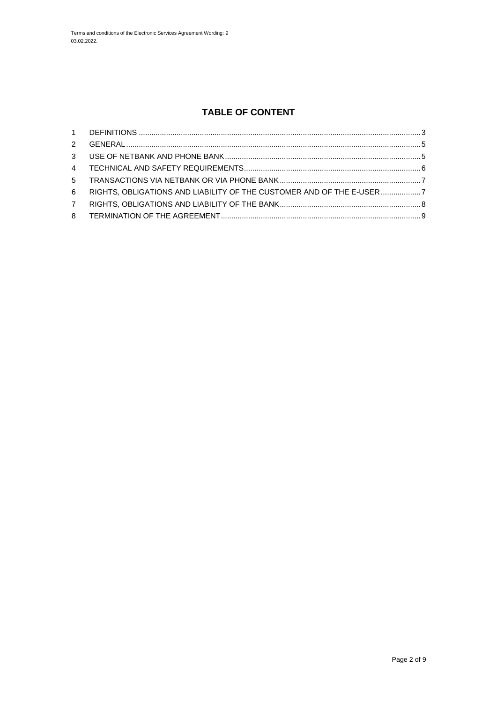### **TABLE OF CONTENT**

| 6           | RIGHTS, OBLIGATIONS AND LIABILITY OF THE CUSTOMER AND OF THE E-USER7 |  |
|-------------|----------------------------------------------------------------------|--|
| $7^{\circ}$ |                                                                      |  |
|             |                                                                      |  |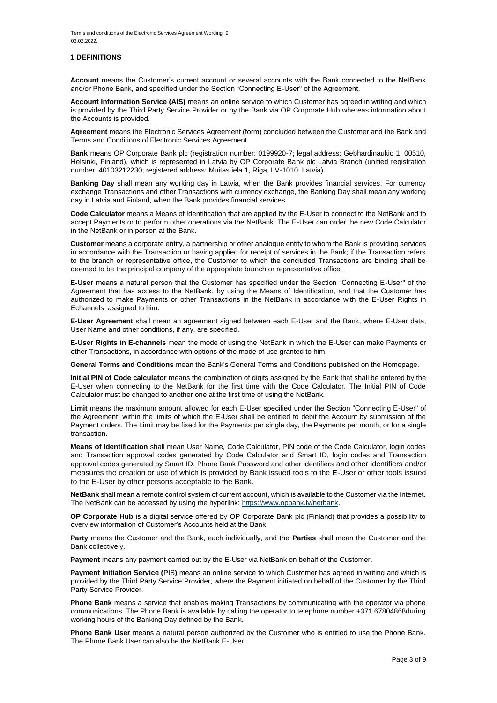#### <span id="page-2-0"></span>**1 DEFINITIONS**

**Account** means the Customer's current account or several accounts with the Bank connected to the NetBank and/or Phone Bank, and specified under the Section "Connecting E-User" of the Agreement.

**Account Information Service (AIS)** means an online service to which Customer has agreed in writing and which is provided by the Third Party Service Provider or by the Bank via OP Corporate Hub whereas information about the Accounts is provided.

**Agreement** means the Electronic Services Agreement (form) concluded between the Customer and the Bank and Terms and Conditions of Electronic Services Agreement.

**Bank** means OP Corporate Bank plc (registration number: 0199920-7; legal address: Gebhardinaukio 1, 00510, Helsinki, Finland), which is represented in Latvia by OP Corporate Bank plc Latvia Branch (unified registration number: 40103212230; registered address: Muitas iela 1, Riga, LV-1010, Latvia).

**Banking Day** shall mean any working day in Latvia, when the Bank provides financial services. For currency exchange Transactions and other Transactions with currency exchange, the Banking Day shall mean any working day in Latvia and Finland, when the Bank provides financial services.

**Code Calculator** means a Means of Identification that are applied by the E-User to connect to the NetBank and to accept Payments or to perform other operations via the NetBank. The E-User can order the new Code Calculator in the NetBank or in person at the Bank.

**Customer** means a corporate entity, a partnership or other analogue entity to whom the Bank is providing services in accordance with the Transaction or having applied for receipt of services in the Bank; if the Transaction refers to the branch or representative office, the Customer to which the concluded Transactions are binding shall be deemed to be the principal company of the appropriate branch or representative office.

**E-User** means a natural person that the Customer has specified under the Section "Connecting E-User" of the Agreement that has access to the NetBank, by using the Means of Identification, and that the Customer has authorized to make Payments or other Transactions in the NetBank in accordance with the E-User Rights in Echannels assigned to him.

**E-User Agreement** shall mean an agreement signed between each E-User and the Bank, where E-User data, User Name and other conditions, if any, are specified.

**E-User Rights in E-channels** mean the mode of using the NetBank in which the E-User can make Payments or other Transactions, in accordance with options of the mode of use granted to him.

**General Terms and Conditions** mean the Bank's General Terms and Conditions published on the Homepage.

**Initial PIN of Code calculator** means the combination of digits assigned by the Bank that shall be entered by the E-User when connecting to the NetBank for the first time with the Code Calculator. The Initial PIN of Code Calculator must be changed to another one at the first time of using the NetBank.

**Limit** means the maximum amount allowed for each E-User specified under the Section "Connecting E-User" of the Agreement, within the limits of which the E-User shall be entitled to debit the Account by submission of the Payment orders. The Limit may be fixed for the Payments per single day, the Payments per month, or for a single transaction.

**Means of Identification** shall mean User Name, Code Calculator, PIN code of the Code Calculator, login codes and Transaction approval codes generated by Code Calculator and Smart ID, login codes and Transaction approval codes generated by Smart ID, Phone Bank Password and other identifiers and other identifiers and/or measures the creation or use of which is provided by Bank issued tools to the E-User or other tools issued to the E-User by other persons acceptable to the Bank.

**NetBank** shall mean a remote control system of current account, which is available to the Customer via the Internet. The NetBank can be accessed by using the hyperlink[:](https://www.opbank.lv/netbank) [https://www.opbank.lv/netbank.](https://www.opbank.lv/netbank)

**OP Corporate Hub** is a digital service offered by OP Corporate Bank plc (Finland) that provides a possibility to overview information of Customer's Accounts held at the Bank.

**Party** means the Customer and the Bank, each individually, and the **Parties** shall mean the Customer and the Bank collectively.

**Payment** means any payment carried out by the E-User via NetBank on behalf of the Customer.

**Payment Initiation Service (**PIS**)** means an online service to which Customer has agreed in writing and which is provided by the Third Party Service Provider, where the Payment initiated on behalf of the Customer by the Third Party Service Provider.

**Phone Bank** means a service that enables making Transactions by communicating with the operator via phone communications. The Phone Bank is available by calling the operator to telephone number +371 67804868during working hours of the Banking Day defined by the Bank.

**Phone Bank User** means a natural person authorized by the Customer who is entitled to use the Phone Bank. The Phone Bank User can also be the NetBank E-User.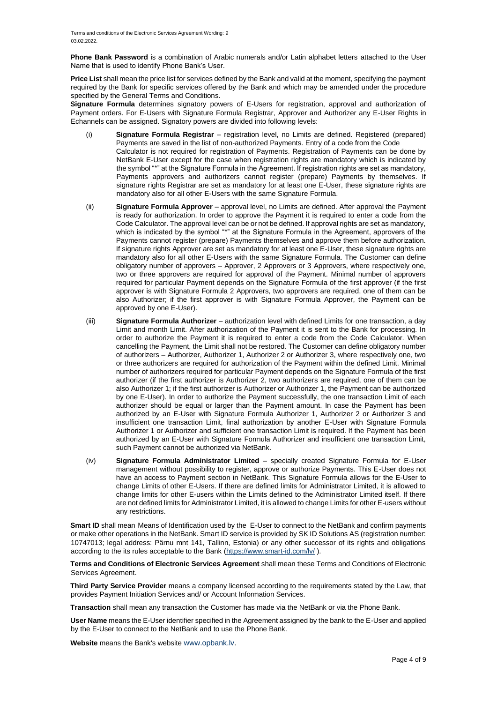**Phone Bank Password** is a combination of Arabic numerals and/or Latin alphabet letters attached to the User Name that is used to identify Phone Bank's User.

**Price List** shall mean the price list for services defined by the Bank and valid at the moment, specifying the payment required by the Bank for specific services offered by the Bank and which may be amended under the procedure specified by the General Terms and Conditions.

**Signature Formula** determines signatory powers of E-Users for registration, approval and authorization of Payment orders. For E-Users with Signature Formula Registrar, Approver and Authorizer any E-User Rights in Echannels can be assigned. Signatory powers are divided into following levels:

- (i) **Signature Formula Registrar** registration level, no Limits are defined. Registered (prepared) Payments are saved in the list of non-authorized Payments. Entry of a code from the Code Calculator is not required for registration of Payments. Registration of Payments can be done by NetBank E-User except for the case when registration rights are mandatory which is indicated by the symbol "\*" at the Signature Formula in the Agreement. If registration rights are set as mandatory, Payments approvers and authorizers cannot register (prepare) Payments by themselves. If signature rights Registrar are set as mandatory for at least one E-User, these signature rights are mandatory also for all other E-Users with the same Signature Formula.
- (ii) **Signature Formula Approver** approval level, no Limits are defined. After approval the Payment is ready for authorization. In order to approve the Payment it is required to enter a code from the Code Calculator. The approval level can be or not be defined. If approval rights are set as mandatory, which is indicated by the symbol "\*" at the Signature Formula in the Agreement, approvers of the Payments cannot register (prepare) Payments themselves and approve them before authorization. If signature rights Approver are set as mandatory for at least one E-User, these signature rights are mandatory also for all other E-Users with the same Signature Formula. The Customer can define obligatory number of approvers – Approver, 2 Approvers or 3 Approvers, where respectively one, two or three approvers are required for approval of the Payment. Minimal number of approvers required for particular Payment depends on the Signature Formula of the first approver (if the first approver is with Signature Formula 2 Approvers, two approvers are required, one of them can be also Authorizer; if the first approver is with Signature Formula Approver, the Payment can be approved by one E-User).
- (iii) **Signature Formula Authorizer** authorization level with defined Limits for one transaction, a day Limit and month Limit. After authorization of the Payment it is sent to the Bank for processing. In order to authorize the Payment it is required to enter a code from the Code Calculator. When cancelling the Payment, the Limit shall not be restored. The Customer can define obligatory number of authorizers – Authorizer, Authorizer 1, Authorizer 2 or Authorizer 3, where respectively one, two or three authorizers are required for authorization of the Payment within the defined Limit. Minimal number of authorizers required for particular Payment depends on the Signature Formula of the first authorizer (if the first authorizer is Authorizer 2, two authorizers are required, one of them can be also Authorizer 1; if the first authorizer is Authorizer or Authorizer 1, the Payment can be authorized by one E-User). In order to authorize the Payment successfully, the one transaction Limit of each authorizer should be equal or larger than the Payment amount. In case the Payment has been authorized by an E-User with Signature Formula Authorizer 1, Authorizer 2 or Authorizer 3 and insufficient one transaction Limit, final authorization by another E-User with Signature Formula Authorizer 1 or Authorizer and sufficient one transaction Limit is required. If the Payment has been authorized by an E-User with Signature Formula Authorizer and insufficient one transaction Limit, such Payment cannot be authorized via NetBank.
- (iv) **Signature Formula Administrator Limited** specially created Signature Formula for E-User management without possibility to register, approve or authorize Payments. This E-User does not have an access to Payment section in NetBank. This Signature Formula allows for the E-User to change Limits of other E-Users. If there are defined limits for Administrator Limited, it is allowed to change limits for other E-users within the Limits defined to the Administrator Limited itself. If there are not defined limits for Administrator Limited, it is allowed to change Limits for other E-users without any restrictions.

**Smart ID** shall mean Means of Identification used by the E-User to connect to the NetBank and confirm payments or make other operations in the NetBank. Smart ID service is provided by SK ID Solutions AS (registration number: 10747013; legal address: Pärnu mnt 141, Tallinn, Estonia) or any other successor of its rights and obligations according to the its rules acceptable to the Bank [\(https://www.smart-id.com/lv/](https://www.smart-id.com/lv/) ).

**Terms and Conditions of Electronic Services Agreement** shall mean these Terms and Conditions of Electronic Services Agreement.

**Third Party Service Provider** means a company licensed according to the requirements stated by the Law, that provides Payment Initiation Services and/ or Account Information Services.

**Transaction** shall mean any transaction the Customer has made via the NetBank or via the Phone Bank.

**User Name** means the E-User identifier specified in the Agreement assigned by the bank to the E-User and applied by the E-User to connect to the NetBank and to use the Phone Bank.

**Website** means the Bank's website [www.opbank.lv](http://www.pohjola.lv/).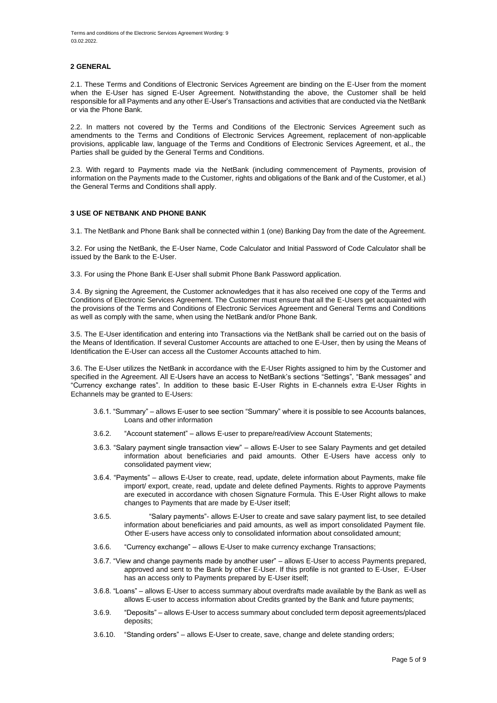#### <span id="page-4-0"></span>**2 GENERAL**

2.1. These Terms and Conditions of Electronic Services Agreement are binding on the E-User from the moment when the E-User has signed E-User Agreement. Notwithstanding the above, the Customer shall be held responsible for all Payments and any other E-User's Transactions and activities that are conducted via the NetBank or via the Phone Bank.

2.2. In matters not covered by the Terms and Conditions of the Electronic Services Agreement such as amendments to the Terms and Conditions of Electronic Services Agreement, replacement of non-applicable provisions, applicable law, language of the Terms and Conditions of Electronic Services Agreement, et al., the Parties shall be guided by the General Terms and Conditions.

2.3. With regard to Payments made via the NetBank (including commencement of Payments, provision of information on the Payments made to the Customer, rights and obligations of the Bank and of the Customer, et al.) the General Terms and Conditions shall apply.

#### <span id="page-4-1"></span>**3 USE OF NETBANK AND PHONE BANK**

3.1. The NetBank and Phone Bank shall be connected within 1 (one) Banking Day from the date of the Agreement.

3.2. For using the NetBank, the E-User Name, Code Calculator and Initial Password of Code Calculator shall be issued by the Bank to the E-User.

3.3. For using the Phone Bank E-User shall submit Phone Bank Password application.

3.4. By signing the Agreement, the Customer acknowledges that it has also received one copy of the Terms and Conditions of Electronic Services Agreement. The Customer must ensure that all the E-Users get acquainted with the provisions of the Terms and Conditions of Electronic Services Agreement and General Terms and Conditions as well as comply with the same, when using the NetBank and/or Phone Bank.

3.5. The E-User identification and entering into Transactions via the NetBank shall be carried out on the basis of the Means of Identification. If several Customer Accounts are attached to one E-User, then by using the Means of Identification the E-User can access all the Customer Accounts attached to him.

3.6. The E-User utilizes the NetBank in accordance with the E-User Rights assigned to him by the Customer and specified in the Agreement. All E-Users have an access to NetBank's sections "Settings", "Bank messages" and "Currency exchange rates". In addition to these basic E-User Rights in E-channels extra E-User Rights in Echannels may be granted to E-Users:

- 3.6.1. "Summary" allows E-user to see section "Summary" where it is possible to see Accounts balances, Loans and other information
- 3.6.2. "Account statement" allows E-user to prepare/read/view Account Statements;
- 3.6.3. "Salary payment single transaction view" allows E-User to see Salary Payments and get detailed information about beneficiaries and paid amounts. Other E-Users have access only to consolidated payment view;
- 3.6.4. "Payments" allows E-User to create, read, update, delete information about Payments, make file import/ export, create, read, update and delete defined Payments. Rights to approve Payments are executed in accordance with chosen Signature Formula. This E-User Right allows to make changes to Payments that are made by E-User itself;
- 3.6.5. "Salary payments"- allows E-User to create and save salary payment list, to see detailed information about beneficiaries and paid amounts, as well as import consolidated Payment file. Other E-users have access only to consolidated information about consolidated amount;
- 3.6.6. "Currency exchange" allows E-User to make currency exchange Transactions;
- 3.6.7. "View and change payments made by another user" allows E-User to access Payments prepared, approved and sent to the Bank by other E-User. If this profile is not granted to E-User, E-User has an access only to Payments prepared by E-User itself;
- 3.6.8. "Loans" allows E-User to access summary about overdrafts made available by the Bank as well as allows E-user to access information about Credits granted by the Bank and future payments;
- 3.6.9. "Deposits" allows E-User to access summary about concluded term deposit agreements/placed deposits;
- 3.6.10. "Standing orders" allows E-User to create, save, change and delete standing orders;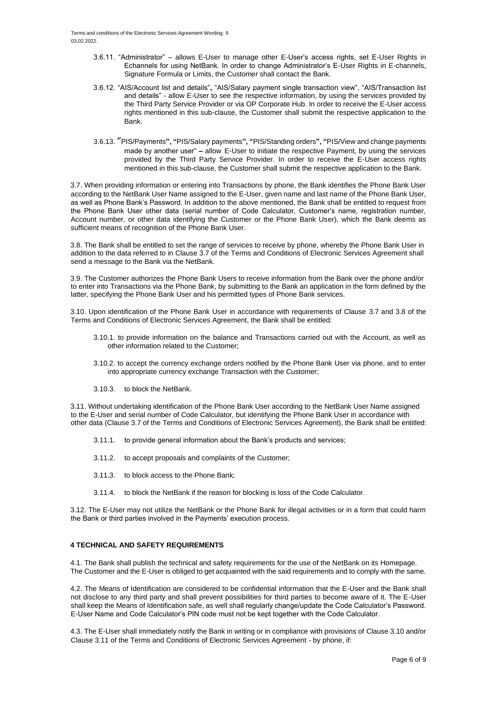- 3.6.11. "Administrator" allows E-User to manage other E-User's access rights, set E-User Rights in Echannels for using NetBank. In order to change Administrator's E-User Rights in E-channels, Signature Formula or Limits, the Customer shall contact the Bank.
- 3.6.12. "AIS/Account list and details"**,** "AIS/Salary payment single transaction view", "AIS/Transaction list and details" - allow E-User to see the respective information, by using the services provided by the Third Party Service Provider or via OP Corporate Hub. In order to receive the E-User access rights mentioned in this sub-clause, the Customer shall submit the respective application to the Bank.
- 3.6.13. "PIS/Payments**", "**PIS/Salary payments**", "**PIS/Standing orders**", "**PIS/View and change payments made by another user" **–** allow E-User to initiate the respective Payment, by using the services provided by the Third Party Service Provider. In order to receive the E-User access rights mentioned in this sub-clause, the Customer shall submit the respective application to the Bank.

3.7. When providing information or entering into Transactions by phone, the Bank identifies the Phone Bank User according to the NetBank User Name assigned to the E-User, given name and last name of the Phone Bank User, as well as Phone Bank's Password. In addition to the above mentioned, the Bank shall be entitled to request from the Phone Bank User other data (serial number of Code Calculator, Customer's name, registration number, Account number, or other data identifying the Customer or the Phone Bank User), which the Bank deems as sufficient means of recognition of the Phone Bank User.

3.8. The Bank shall be entitled to set the range of services to receive by phone, whereby the Phone Bank User in addition to the data referred to in Clause 3.7 of the Terms and Conditions of Electronic Services Agreement shall send a message to the Bank via the NetBank.

3.9. The Customer authorizes the Phone Bank Users to receive information from the Bank over the phone and/or to enter into Transactions via the Phone Bank, by submitting to the Bank an application in the form defined by the latter, specifying the Phone Bank User and his permitted types of Phone Bank services.

3.10. Upon identification of the Phone Bank User in accordance with requirements of Clause 3.7 and 3.8 of the Terms and Conditions of Electronic Services Agreement, the Bank shall be entitled:

- 3.10.1. to provide information on the balance and Transactions carried out with the Account, as well as other information related to the Customer;
- 3.10.2. to accept the currency exchange orders notified by the Phone Bank User via phone, and to enter into appropriate currency exchange Transaction with the Customer;
- 3.10.3. to block the NetBank.

3.11. Without undertaking identification of the Phone Bank User according to the NetBank User Name assigned to the E-User and serial number of Code Calculator, but identifying the Phone Bank User in accordance with other data (Clause 3.7 of the Terms and Conditions of Electronic Services Agreement), the Bank shall be entitled:

- 3.11.1. to provide general information about the Bank's products and services;
- 3.11.2. to accept proposals and complaints of the Customer;
- 3.11.3. to block access to the Phone Bank;
- 3.11.4. to block the NetBank if the reason for blocking is loss of the Code Calculator.

3.12. The E-User may not utilize the NetBank or the Phone Bank for illegal activities or in a form that could harm the Bank or third parties involved in the Payments' execution process.

#### <span id="page-5-0"></span>**4 TECHNICAL AND SAFETY REQUIREMENTS**

4.1. The Bank shall publish the technical and safety requirements for the use of the NetBank on its Homepage. The Customer and the E-User is obliged to get acquainted with the said requirements and to comply with the same.

4.2. The Means of Identification are considered to be confidential information that the E-User and the Bank shall not disclose to any third party and shall prevent possibilities for third parties to become aware of it. The E-User shall keep the Means of Identification safe, as well shall regularly change/update the Code Calculator's Password. E-User Name and Code Calculator's PIN code must not be kept together with the Code Calculator.

4.3. The E-User shall immediately notify the Bank in writing or in compliance with provisions of Clause 3.10 and/or Clause 3.11 of the Terms and Conditions of Electronic Services Agreement - by phone, if: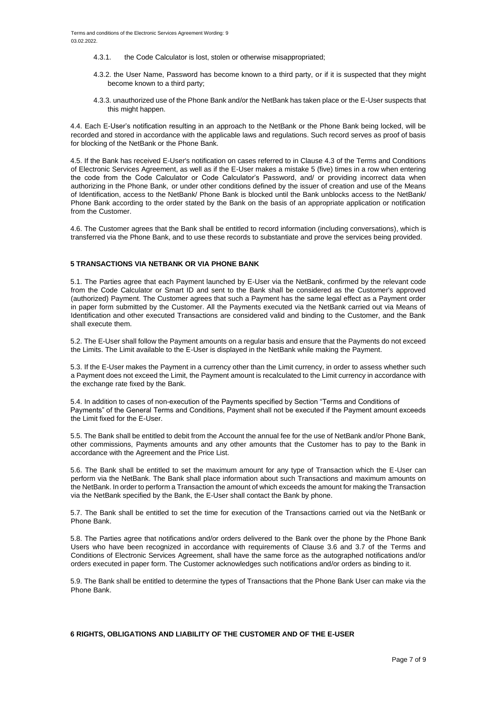Terms and conditions of the Electronic Services Agreement Wording: 9 03.02.2022.

- 4.3.1. the Code Calculator is lost, stolen or otherwise misappropriated;
- 4.3.2. the User Name, Password has become known to a third party, or if it is suspected that they might become known to a third party;
- 4.3.3. unauthorized use of the Phone Bank and/or the NetBank has taken place or the E-User suspects that this might happen.

4.4. Each E-User's notification resulting in an approach to the NetBank or the Phone Bank being locked, will be recorded and stored in accordance with the applicable laws and regulations. Such record serves as proof of basis for blocking of the NetBank or the Phone Bank.

4.5. If the Bank has received E-User's notification on cases referred to in Clause 4.3 of the Terms and Conditions of Electronic Services Agreement, as well as if the E-User makes a mistake 5 (five) times in a row when entering the code from the Code Calculator or Code Calculator's Password, and/ or providing incorrect data when authorizing in the Phone Bank, or under other conditions defined by the issuer of creation and use of the Means of Identification, access to the NetBank/ Phone Bank is blocked until the Bank unblocks access to the NetBank/ Phone Bank according to the order stated by the Bank on the basis of an appropriate application or notification from the Customer.

4.6. The Customer agrees that the Bank shall be entitled to record information (including conversations), which is transferred via the Phone Bank, and to use these records to substantiate and prove the services being provided.

#### <span id="page-6-0"></span>**5 TRANSACTIONS VIA NETBANK OR VIA PHONE BANK**

5.1. The Parties agree that each Payment launched by E-User via the NetBank, confirmed by the relevant code from the Code Calculator or Smart ID and sent to the Bank shall be considered as the Customer's approved (authorized) Payment. The Customer agrees that such a Payment has the same legal effect as a Payment order in paper form submitted by the Customer. All the Payments executed via the NetBank carried out via Means of Identification and other executed Transactions are considered valid and binding to the Customer, and the Bank shall execute them.

5.2. The E-User shall follow the Payment amounts on a regular basis and ensure that the Payments do not exceed the Limits. The Limit available to the E-User is displayed in the NetBank while making the Payment.

5.3. If the E-User makes the Payment in a currency other than the Limit currency, in order to assess whether such a Payment does not exceed the Limit, the Payment amount is recalculated to the Limit currency in accordance with the exchange rate fixed by the Bank.

5.4. In addition to cases of non-execution of the Payments specified by Section "Terms and Conditions of Payments" of the General Terms and Conditions, Payment shall not be executed if the Payment amount exceeds the Limit fixed for the E-User.

5.5. The Bank shall be entitled to debit from the Account the annual fee for the use of NetBank and/or Phone Bank, other commissions, Payments amounts and any other amounts that the Customer has to pay to the Bank in accordance with the Agreement and the Price List.

5.6. The Bank shall be entitled to set the maximum amount for any type of Transaction which the E-User can perform via the NetBank. The Bank shall place information about such Transactions and maximum amounts on the NetBank. In order to perform a Transaction the amount of which exceeds the amount for making the Transaction via the NetBank specified by the Bank, the E-User shall contact the Bank by phone.

5.7. The Bank shall be entitled to set the time for execution of the Transactions carried out via the NetBank or Phone Bank.

5.8. The Parties agree that notifications and/or orders delivered to the Bank over the phone by the Phone Bank Users who have been recognized in accordance with requirements of Clause 3.6 and 3.7 of the Terms and Conditions of Electronic Services Agreement, shall have the same force as the autographed notifications and/or orders executed in paper form. The Customer acknowledges such notifications and/or orders as binding to it.

5.9. The Bank shall be entitled to determine the types of Transactions that the Phone Bank User can make via the Phone Bank.

<span id="page-6-1"></span>**6 RIGHTS, OBLIGATIONS AND LIABILITY OF THE CUSTOMER AND OF THE E-USER**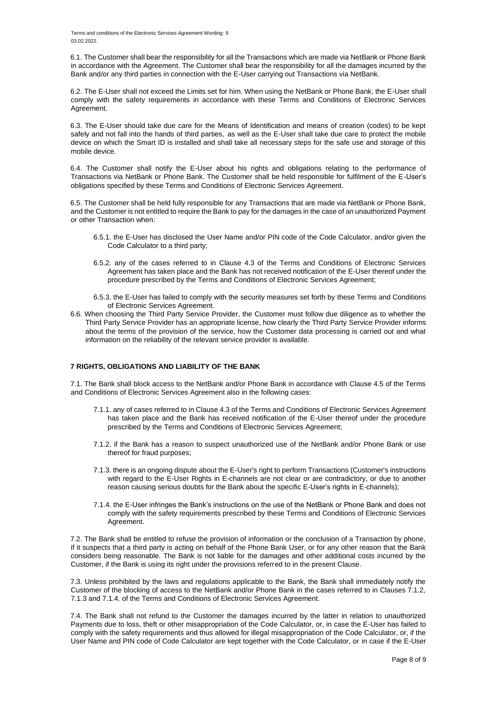6.1. The Customer shall bear the responsibility for all the Transactions which are made via NetBank or Phone Bank in accordance with the Agreement. The Customer shall bear the responsibility for all the damages incurred by the Bank and/or any third parties in connection with the E-User carrying out Transactions via NetBank.

6.2. The E-User shall not exceed the Limits set for him. When using the NetBank or Phone Bank, the E-User shall comply with the safety requirements in accordance with these Terms and Conditions of Electronic Services Agreement.

6.3. The E-User should take due care for the Means of Identification and means of creation (codes) to be kept safely and not fall into the hands of third parties, as well as the E-User shall take due care to protect the mobile device on which the Smart ID is installed and shall take all necessary steps for the safe use and storage of this mobile device.

6.4. The Customer shall notify the E-User about his rights and obligations relating to the performance of Transactions via NetBank or Phone Bank. The Customer shall be held responsible for fulfilment of the E-User's obligations specified by these Terms and Conditions of Electronic Services Agreement.

6.5. The Customer shall be held fully responsible for any Transactions that are made via NetBank or Phone Bank, and the Customer is not entitled to require the Bank to pay for the damages in the case of an unauthorized Payment or other Transaction when:

- 6.5.1. the E-User has disclosed the User Name and/or PIN code of the Code Calculator, and/or given the Code Calculator to a third party;
- 6.5.2. any of the cases referred to in Clause 4.3 of the Terms and Conditions of Electronic Services Agreement has taken place and the Bank has not received notification of the E-User thereof under the procedure prescribed by the Terms and Conditions of Electronic Services Agreement;
- 6.5.3. the E-User has failed to comply with the security measures set forth by these Terms and Conditions of Electronic Services Agreement.
- 6.6. When choosing the Third Party Service Provider, the Customer must follow due diligence as to whether the Third Party Service Provider has an appropriate license, how clearly the Third Party Service Provider informs about the terms of the provision of the service, how the Customer data processing is carried out and what information on the reliability of the relevant service provider is available.

#### <span id="page-7-0"></span>**7 RIGHTS, OBLIGATIONS AND LIABILITY OF THE BANK**

7.1. The Bank shall block access to the NetBank and/or Phone Bank in accordance with Clause 4.5 of the Terms and Conditions of Electronic Services Agreement also in the following cases:

- 7.1.1. any of cases referred to in Clause 4.3 of the Terms and Conditions of Electronic Services Agreement has taken place and the Bank has received notification of the E-User thereof under the procedure prescribed by the Terms and Conditions of Electronic Services Agreement;
- 7.1.2. if the Bank has a reason to suspect unauthorized use of the NetBank and/or Phone Bank or use thereof for fraud purposes;
- 7.1.3. there is an ongoing dispute about the E-User's right to perform Transactions (Customer's instructions with regard to the E-User Rights in E-channels are not clear or are contradictory, or due to another reason causing serious doubts for the Bank about the specific E-User's rights in E-channels);
- 7.1.4. the E-User infringes the Bank's instructions on the use of the NetBank or Phone Bank and does not comply with the safety requirements prescribed by these Terms and Conditions of Electronic Services Agreement.

7.2. The Bank shall be entitled to refuse the provision of information or the conclusion of a Transaction by phone, if it suspects that a third party is acting on behalf of the Phone Bank User, or for any other reason that the Bank considers being reasonable. The Bank is not liable for the damages and other additional costs incurred by the Customer, if the Bank is using its right under the provisions referred to in the present Clause.

7.3. Unless prohibited by the laws and regulations applicable to the Bank, the Bank shall immediately notify the Customer of the blocking of access to the NetBank and/or Phone Bank in the cases referred to in Clauses 7.1.2, 7.1.3 and 7.1.4. of the Terms and Conditions of Electronic Services Agreement.

7.4. The Bank shall not refund to the Customer the damages incurred by the latter in relation to unauthorized Payments due to loss, theft or other misappropriation of the Code Calculator, or, in case the E-User has failed to comply with the safety requirements and thus allowed for illegal misappropriation of the Code Calculator, or, if the User Name and PIN code of Code Calculator are kept together with the Code Calculator, or in case if the E-User